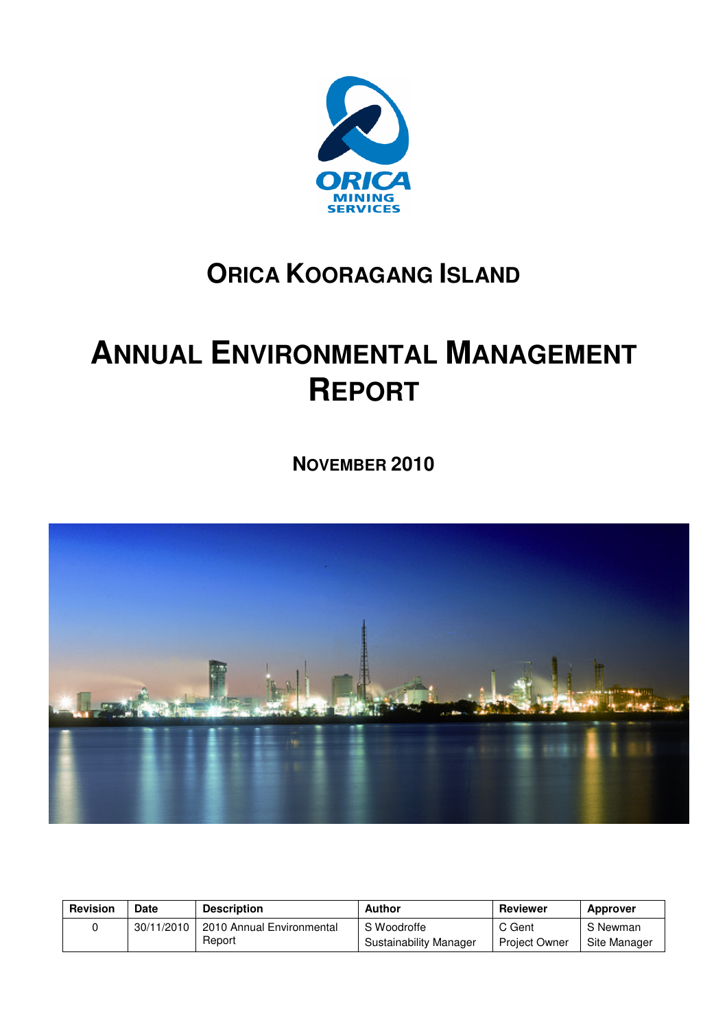

## **ORICA KOORAGANG ISLAND**

# **ANNUAL ENVIRONMENTAL MANAGEMENT REPORT**

**NOVEMBER 2010** 



| <b>Revision</b> | <b>Date</b> | <b>Description</b>        | Author                 | Reviewer             | <b>Approver</b> |
|-----------------|-------------|---------------------------|------------------------|----------------------|-----------------|
|                 | 30/11/2010  | 2010 Annual Environmental | S Woodroffe            | C Gent               | S Newman        |
|                 |             | Report                    | Sustainability Manager | <b>Project Owner</b> | Site Manager    |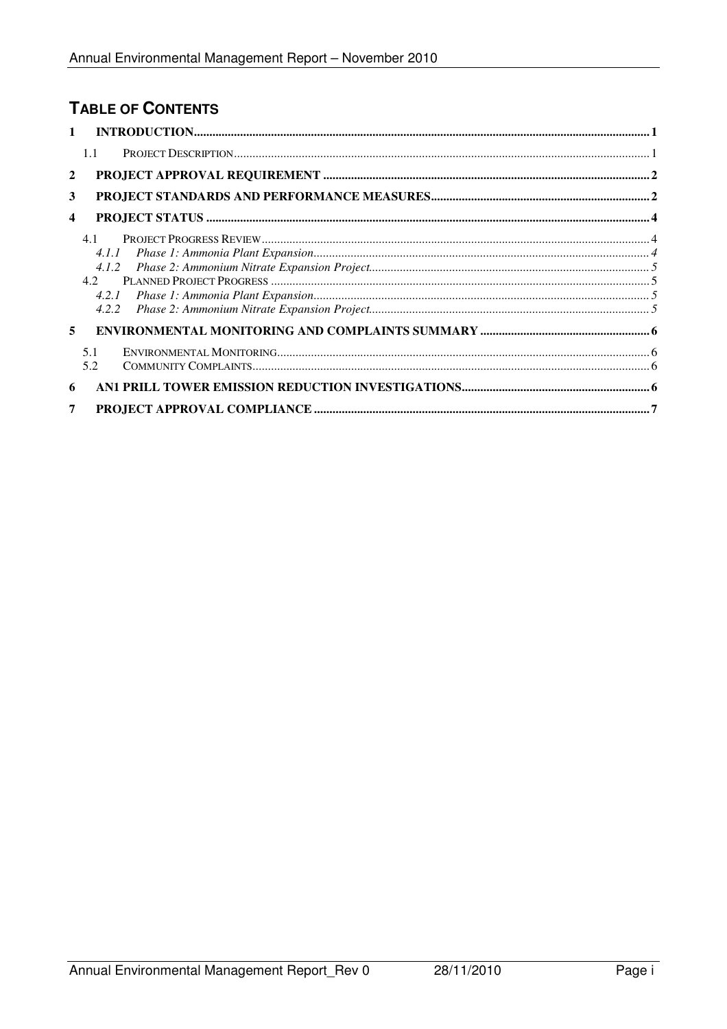### TABLE OF CONTENTS

|                         | $\mathbf{1}$                                                                                                         |  |
|-------------------------|----------------------------------------------------------------------------------------------------------------------|--|
|                         | 1.1                                                                                                                  |  |
|                         | $\mathbf{2}$                                                                                                         |  |
| 3                       |                                                                                                                      |  |
| $\overline{\mathbf{4}}$ |                                                                                                                      |  |
|                         | 4.1                                                                                                                  |  |
|                         | 4.1.1                                                                                                                |  |
|                         | 4.1.2                                                                                                                |  |
|                         | 4.2                                                                                                                  |  |
|                         | 4.2.1                                                                                                                |  |
|                         | 4.2.2                                                                                                                |  |
|                         | 5                                                                                                                    |  |
|                         | ${\it EVVIRONMENTAL MONITORING} \label{thm:non-convex} {\it EVVIRONMENTAL MONITORING} \label{thm:non-convex}$<br>5.1 |  |
|                         | 5.2                                                                                                                  |  |
|                         | 6                                                                                                                    |  |
|                         | 7                                                                                                                    |  |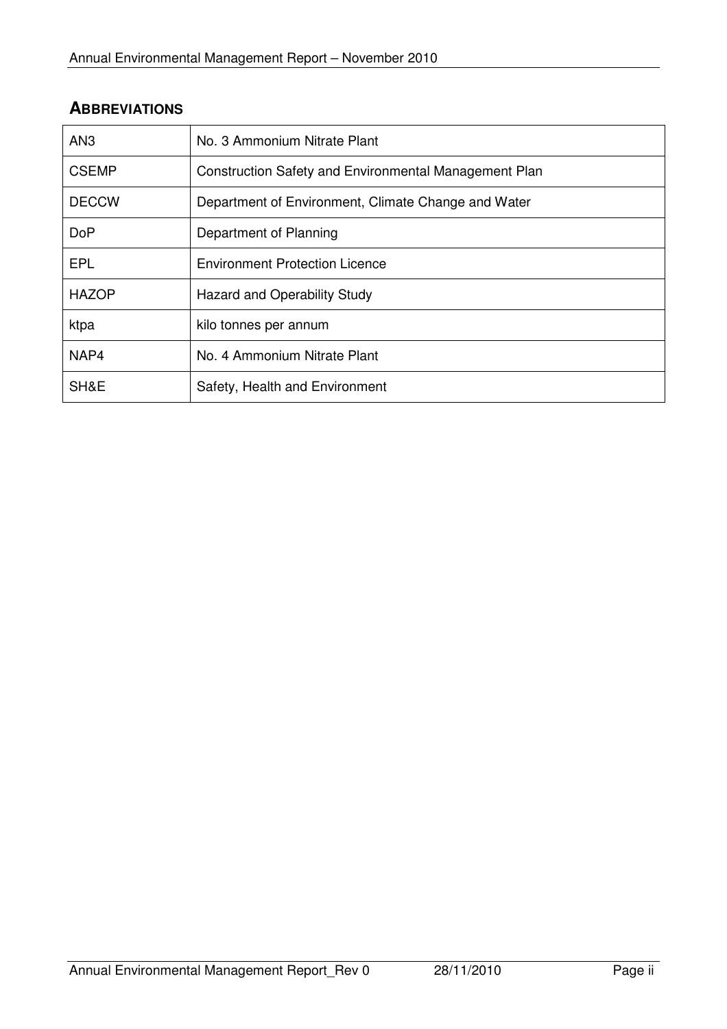| <b>ABBREVIATIONS</b> |  |  |  |  |
|----------------------|--|--|--|--|
|----------------------|--|--|--|--|

| AN <sub>3</sub> | No. 3 Ammonium Nitrate Plant                          |
|-----------------|-------------------------------------------------------|
| <b>CSEMP</b>    | Construction Safety and Environmental Management Plan |
| <b>DECCW</b>    | Department of Environment, Climate Change and Water   |
| <b>DoP</b>      | Department of Planning                                |
| EPL             | <b>Environment Protection Licence</b>                 |
| <b>HAZOP</b>    | Hazard and Operability Study                          |
| ktpa            | kilo tonnes per annum                                 |
| NAP4            | No. 4 Ammonium Nitrate Plant                          |
| SH&E            | Safety, Health and Environment                        |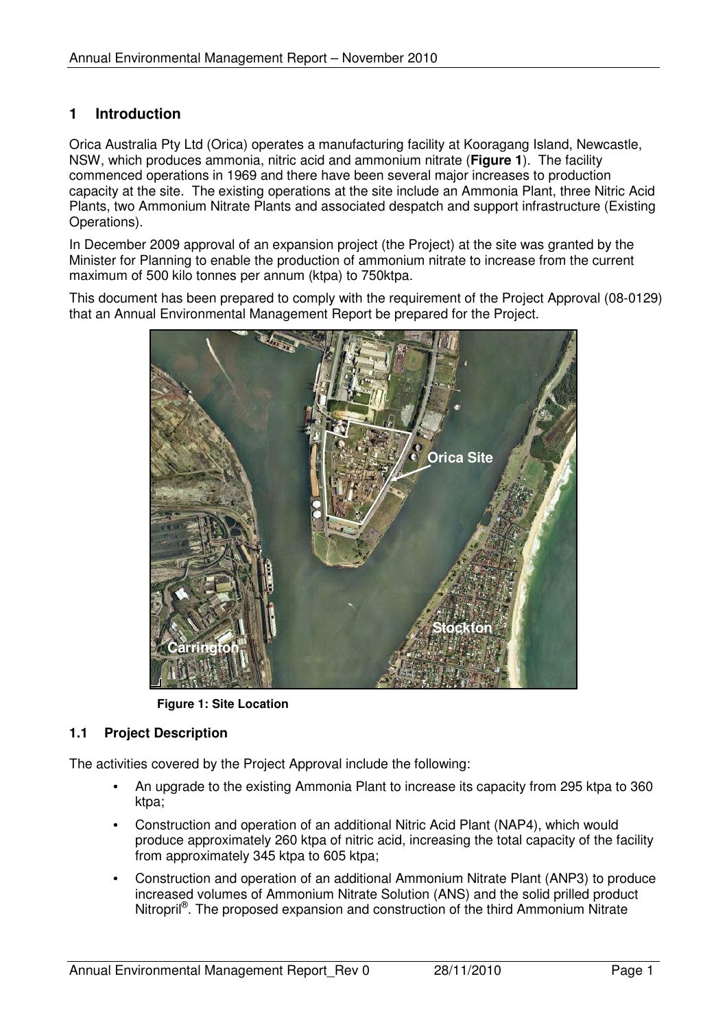#### **1 Introduction**

Orica Australia Pty Ltd (Orica) operates a manufacturing facility at Kooragang Island, Newcastle, NSW, which produces ammonia, nitric acid and ammonium nitrate (**Figure 1**). The facility commenced operations in 1969 and there have been several major increases to production capacity at the site. The existing operations at the site include an Ammonia Plant, three Nitric Acid Plants, two Ammonium Nitrate Plants and associated despatch and support infrastructure (Existing Operations).

In December 2009 approval of an expansion project (the Project) at the site was granted by the Minister for Planning to enable the production of ammonium nitrate to increase from the current maximum of 500 kilo tonnes per annum (ktpa) to 750ktpa.

This document has been prepared to comply with the requirement of the Project Approval (08-0129) that an Annual Environmental Management Report be prepared for the Project.



**Figure 1: Site Location** 

#### **1.1 Project Description**

The activities covered by the Project Approval include the following:

- An upgrade to the existing Ammonia Plant to increase its capacity from 295 ktpa to 360 ktpa:
- Construction and operation of an additional Nitric Acid Plant (NAP4), which would produce approximately 260 ktpa of nitric acid, increasing the total capacity of the facility from approximately 345 ktpa to 605 ktpa;
- Construction and operation of an additional Ammonium Nitrate Plant (ANP3) to produce increased volumes of Ammonium Nitrate Solution (ANS) and the solid prilled product Nitropril<sup>®</sup>. The proposed expansion and construction of the third Ammonium Nitrate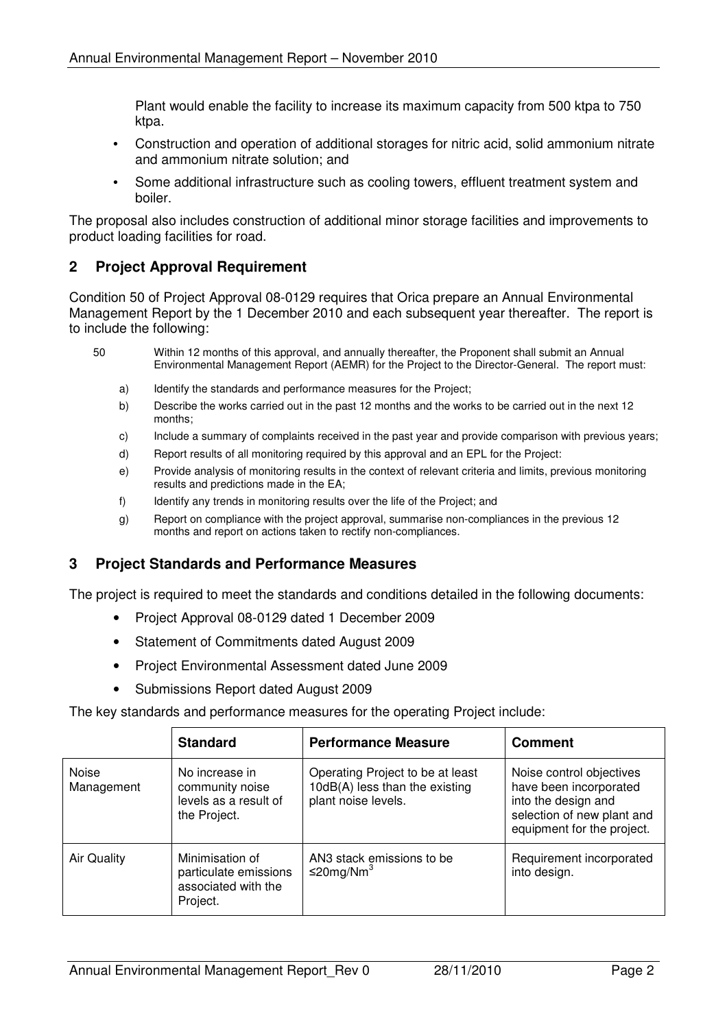Plant would enable the facility to increase its maximum capacity from 500 ktpa to 750 ktpa.

- Construction and operation of additional storages for nitric acid, solid ammonium nitrate and ammonium nitrate solution; and
- Some additional infrastructure such as cooling towers, effluent treatment system and boiler.

The proposal also includes construction of additional minor storage facilities and improvements to product loading facilities for road.

#### **2 Project Approval Requirement**

Condition 50 of Project Approval 08-0129 requires that Orica prepare an Annual Environmental Management Report by the 1 December 2010 and each subsequent year thereafter. The report is to include the following:

- 50 Within 12 months of this approval, and annually thereafter, the Proponent shall submit an Annual Environmental Management Report (AEMR) for the Project to the Director-General. The report must:
	- a) Identify the standards and performance measures for the Project:
	- b) Describe the works carried out in the past 12 months and the works to be carried out in the next 12 months;
	- c) Include a summary of complaints received in the past year and provide comparison with previous years;
	- d) Report results of all monitoring required by this approval and an EPL for the Project:
	- e) Provide analysis of monitoring results in the context of relevant criteria and limits, previous monitoring results and predictions made in the EA;
	- f) Identify any trends in monitoring results over the life of the Project; and
	- g) Report on compliance with the project approval, summarise non-compliances in the previous 12 months and report on actions taken to rectify non-compliances.

#### **3 Project Standards and Performance Measures**

The project is required to meet the standards and conditions detailed in the following documents:

- Project Approval 08-0129 dated 1 December 2009
- Statement of Commitments dated August 2009
- Project Environmental Assessment dated June 2009
- Submissions Report dated August 2009

The key standards and performance measures for the operating Project include:

|                     | <b>Standard</b>                                                             | <b>Performance Measure</b>                                                                | <b>Comment</b>                                                                                                                        |
|---------------------|-----------------------------------------------------------------------------|-------------------------------------------------------------------------------------------|---------------------------------------------------------------------------------------------------------------------------------------|
| Noise<br>Management | No increase in<br>community noise<br>levels as a result of<br>the Project.  | Operating Project to be at least<br>10dB(A) less than the existing<br>plant noise levels. | Noise control objectives<br>have been incorporated<br>into the design and<br>selection of new plant and<br>equipment for the project. |
| <b>Air Quality</b>  | Minimisation of<br>particulate emissions<br>associated with the<br>Project. | AN3 stack emissions to be<br>≤20mg/Nm <sup>3</sup>                                        | Requirement incorporated<br>into design.                                                                                              |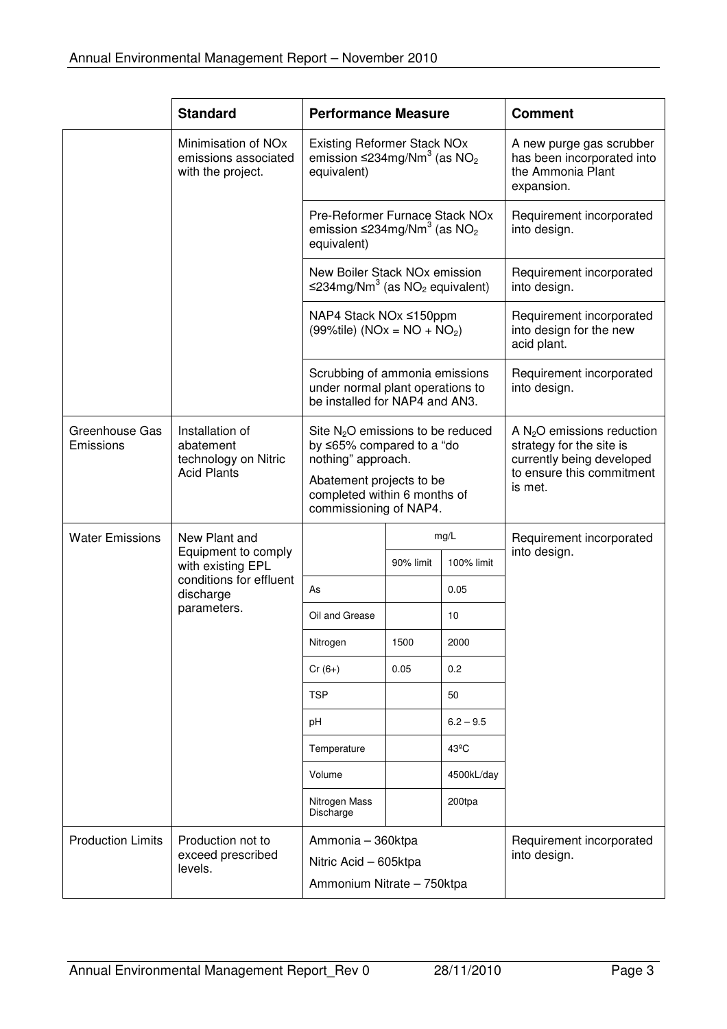|                             | <b>Standard</b>                                                              | <b>Performance Measure</b>                                                                                                                                                   |           |                                                                                           | <b>Comment</b>                                                                                                                |
|-----------------------------|------------------------------------------------------------------------------|------------------------------------------------------------------------------------------------------------------------------------------------------------------------------|-----------|-------------------------------------------------------------------------------------------|-------------------------------------------------------------------------------------------------------------------------------|
|                             | Minimisation of NO <sub>x</sub><br>emissions associated<br>with the project. | <b>Existing Reformer Stack NOx</b><br>emission $\leq$ 234mg/Nm <sup>3</sup> (as NO <sub>2</sub><br>equivalent)                                                               |           | A new purge gas scrubber<br>has been incorporated into<br>the Ammonia Plant<br>expansion. |                                                                                                                               |
|                             |                                                                              | Pre-Reformer Furnace Stack NOx<br>emission $\leq$ 234mg/Nm <sup>3</sup> (as NO <sub>2</sub><br>equivalent)                                                                   |           |                                                                                           | Requirement incorporated<br>into design.                                                                                      |
|                             |                                                                              | New Boiler Stack NOx emission<br>$\leq$ 234mg/Nm <sup>3</sup> (as NO <sub>2</sub> equivalent)                                                                                |           |                                                                                           | Requirement incorporated<br>into design.                                                                                      |
|                             |                                                                              | NAP4 Stack NOx ≤150ppm<br>$(99\%$ tile) (NOx = NO + NO <sub>2</sub> )                                                                                                        |           |                                                                                           | Requirement incorporated<br>into design for the new<br>acid plant.                                                            |
|                             |                                                                              | Scrubbing of ammonia emissions<br>under normal plant operations to<br>be installed for NAP4 and AN3.                                                                         |           |                                                                                           | Requirement incorporated<br>into design.                                                                                      |
| Greenhouse Gas<br>Emissions | Installation of<br>abatement<br>technology on Nitric<br><b>Acid Plants</b>   | Site $N_2O$ emissions to be reduced<br>by ≤65% compared to a "do<br>nothing" approach.<br>Abatement projects to be<br>completed within 6 months of<br>commissioning of NAP4. |           |                                                                                           | A $N_2O$ emissions reduction<br>strategy for the site is<br>currently being developed<br>to ensure this commitment<br>is met. |
| <b>Water Emissions</b>      | New Plant and                                                                | mg/L                                                                                                                                                                         |           | Requirement incorporated                                                                  |                                                                                                                               |
|                             | Equipment to comply<br>with existing EPL                                     |                                                                                                                                                                              | 90% limit | 100% limit                                                                                | into design.                                                                                                                  |
|                             | conditions for effluent<br>discharge                                         | As                                                                                                                                                                           |           | 0.05                                                                                      |                                                                                                                               |
|                             | parameters.                                                                  | Oil and Grease                                                                                                                                                               |           | 10                                                                                        |                                                                                                                               |
|                             |                                                                              | Nitrogen                                                                                                                                                                     | 1500      | 2000                                                                                      |                                                                                                                               |
|                             |                                                                              | $Cr(6+)$                                                                                                                                                                     | 0.05      | 0.2                                                                                       |                                                                                                                               |
|                             |                                                                              | <b>TSP</b>                                                                                                                                                                   |           | 50                                                                                        |                                                                                                                               |
|                             |                                                                              | рH                                                                                                                                                                           |           | $6.2 - 9.5$                                                                               |                                                                                                                               |
|                             |                                                                              | Temperature                                                                                                                                                                  |           | 43 <sup>°</sup> C                                                                         |                                                                                                                               |
|                             |                                                                              | Volume                                                                                                                                                                       |           | 4500kL/day                                                                                |                                                                                                                               |
|                             |                                                                              | Nitrogen Mass<br>Discharge                                                                                                                                                   |           | 200tpa                                                                                    |                                                                                                                               |
| <b>Production Limits</b>    | Production not to<br>exceed prescribed<br>levels.                            | Ammonia - 360ktpa<br>Nitric Acid - 605ktpa<br>Ammonium Nitrate - 750ktpa                                                                                                     |           |                                                                                           | Requirement incorporated<br>into design.                                                                                      |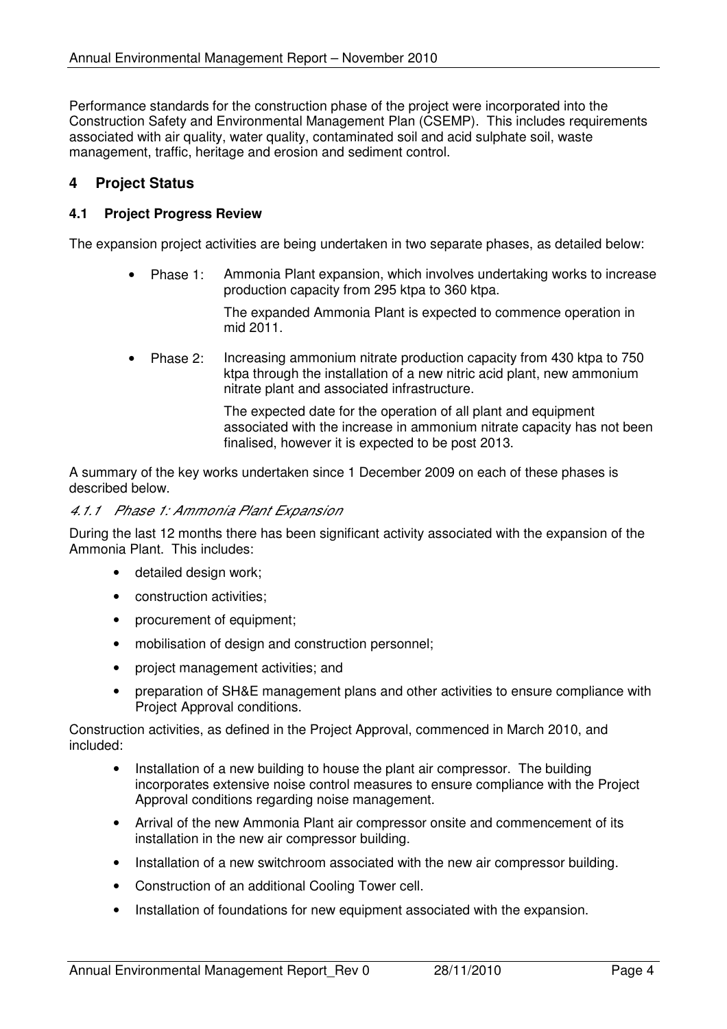Performance standards for the construction phase of the project were incorporated into the Construction Safety and Environmental Management Plan (CSEMP). This includes requirements associated with air quality, water quality, contaminated soil and acid sulphate soil, waste management, traffic, heritage and erosion and sediment control.

#### **4 Project Status**

#### **4.1 Project Progress Review**

The expansion project activities are being undertaken in two separate phases, as detailed below:

• Phase 1: Ammonia Plant expansion, which involves undertaking works to increase production capacity from 295 ktpa to 360 ktpa.

> The expanded Ammonia Plant is expected to commence operation in mid 2011.

• Phase 2: Increasing ammonium nitrate production capacity from 430 ktpa to 750 ktpa through the installation of a new nitric acid plant, new ammonium nitrate plant and associated infrastructure.

> The expected date for the operation of all plant and equipment associated with the increase in ammonium nitrate capacity has not been finalised, however it is expected to be post 2013.

A summary of the key works undertaken since 1 December 2009 on each of these phases is described below.

#### 4.1.1 Phase 1: Ammonia Plant Expansion

During the last 12 months there has been significant activity associated with the expansion of the Ammonia Plant. This includes:

- detailed design work;
- construction activities:
- procurement of equipment;
- mobilisation of design and construction personnel;
- project management activities; and
- preparation of SH&E management plans and other activities to ensure compliance with Project Approval conditions.

Construction activities, as defined in the Project Approval, commenced in March 2010, and included:

- Installation of a new building to house the plant air compressor. The building incorporates extensive noise control measures to ensure compliance with the Project Approval conditions regarding noise management.
- Arrival of the new Ammonia Plant air compressor onsite and commencement of its installation in the new air compressor building.
- Installation of a new switchroom associated with the new air compressor building.
- Construction of an additional Cooling Tower cell.
- Installation of foundations for new equipment associated with the expansion.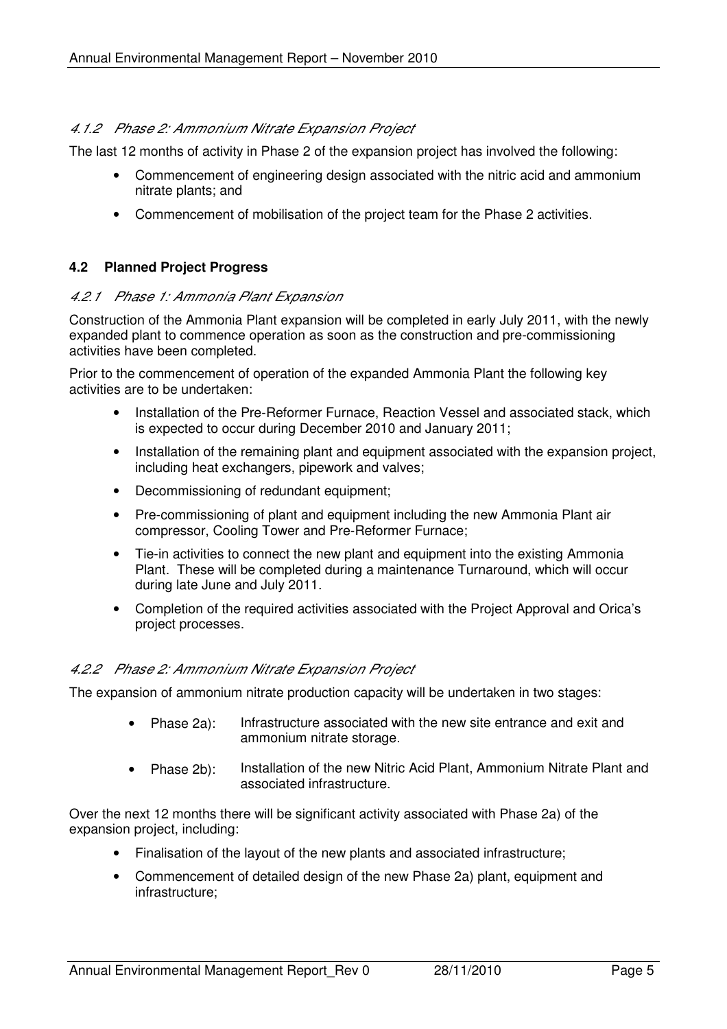#### 4.1.2 Phase 2: Ammonium Nitrate Expansion Project

The last 12 months of activity in Phase 2 of the expansion project has involved the following:

- Commencement of engineering design associated with the nitric acid and ammonium nitrate plants; and
- Commencement of mobilisation of the project team for the Phase 2 activities.

#### **4.2 Planned Project Progress**

#### 4.2.1 Phase 1: Ammonia Plant Expansion

Construction of the Ammonia Plant expansion will be completed in early July 2011, with the newly expanded plant to commence operation as soon as the construction and pre-commissioning activities have been completed.

Prior to the commencement of operation of the expanded Ammonia Plant the following key activities are to be undertaken:

- Installation of the Pre-Reformer Furnace, Reaction Vessel and associated stack, which is expected to occur during December 2010 and January 2011;
- Installation of the remaining plant and equipment associated with the expansion project, including heat exchangers, pipework and valves;
- Decommissioning of redundant equipment:
- Pre-commissioning of plant and equipment including the new Ammonia Plant air compressor, Cooling Tower and Pre-Reformer Furnace;
- Tie-in activities to connect the new plant and equipment into the existing Ammonia Plant. These will be completed during a maintenance Turnaround, which will occur during late June and July 2011.
- Completion of the required activities associated with the Project Approval and Orica's project processes.

#### 4.2.2 Phase 2: Ammonium Nitrate Expansion Project

The expansion of ammonium nitrate production capacity will be undertaken in two stages:

- Phase 2a): Infrastructure associated with the new site entrance and exit and ammonium nitrate storage.
- Phase 2b): Installation of the new Nitric Acid Plant, Ammonium Nitrate Plant and associated infrastructure.

Over the next 12 months there will be significant activity associated with Phase 2a) of the expansion project, including:

- Finalisation of the layout of the new plants and associated infrastructure;
- Commencement of detailed design of the new Phase 2a) plant, equipment and infrastructure;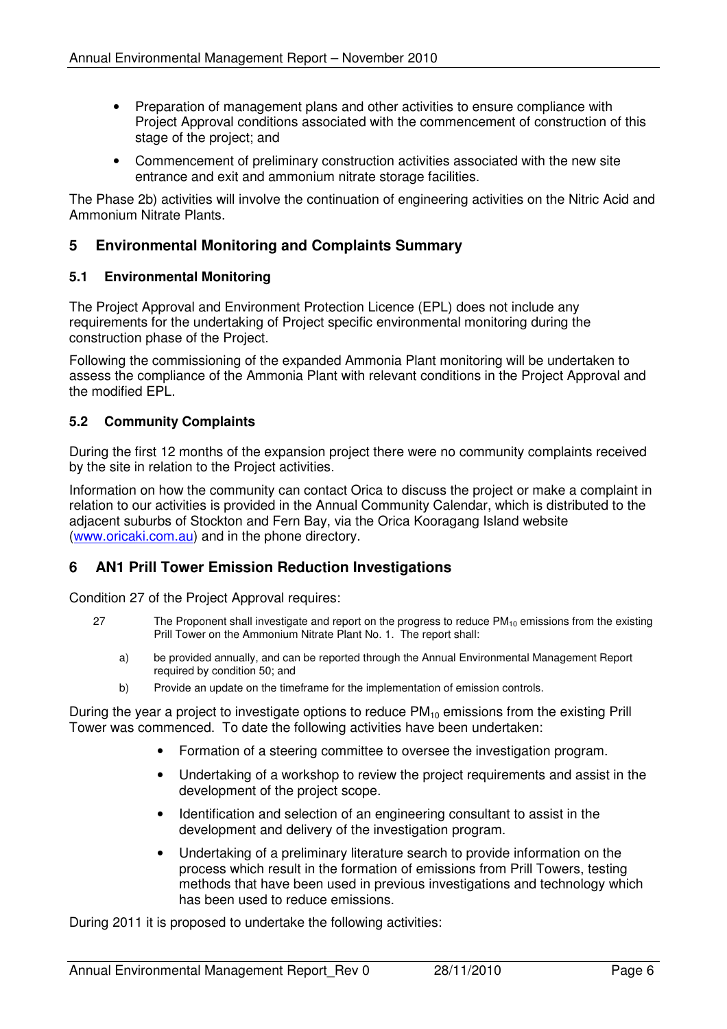- Preparation of management plans and other activities to ensure compliance with Project Approval conditions associated with the commencement of construction of this stage of the project; and
- Commencement of preliminary construction activities associated with the new site entrance and exit and ammonium nitrate storage facilities.

The Phase 2b) activities will involve the continuation of engineering activities on the Nitric Acid and Ammonium Nitrate Plants.

#### **5 Environmental Monitoring and Complaints Summary**

#### **5.1 Environmental Monitoring**

The Project Approval and Environment Protection Licence (EPL) does not include any requirements for the undertaking of Project specific environmental monitoring during the construction phase of the Project.

Following the commissioning of the expanded Ammonia Plant monitoring will be undertaken to assess the compliance of the Ammonia Plant with relevant conditions in the Project Approval and the modified EPL.

#### **5.2 Community Complaints**

During the first 12 months of the expansion project there were no community complaints received by the site in relation to the Project activities.

Information on how the community can contact Orica to discuss the project or make a complaint in relation to our activities is provided in the Annual Community Calendar, which is distributed to the adjacent suburbs of Stockton and Fern Bay, via the Orica Kooragang Island website (www.oricaki.com.au) and in the phone directory.

#### **6 AN1 Prill Tower Emission Reduction Investigations**

Condition 27 of the Project Approval requires:

- 27 The Proponent shall investigate and report on the progress to reduce  $PM_{10}$  emissions from the existing Prill Tower on the Ammonium Nitrate Plant No. 1. The report shall:
	- a) be provided annually, and can be reported through the Annual Environmental Management Report required by condition 50; and
	- b) Provide an update on the timeframe for the implementation of emission controls.

During the year a project to investigate options to reduce  $PM_{10}$  emissions from the existing Prill Tower was commenced. To date the following activities have been undertaken:

- Formation of a steering committee to oversee the investigation program.
- Undertaking of a workshop to review the project requirements and assist in the development of the project scope.
- Identification and selection of an engineering consultant to assist in the development and delivery of the investigation program.
- Undertaking of a preliminary literature search to provide information on the process which result in the formation of emissions from Prill Towers, testing methods that have been used in previous investigations and technology which has been used to reduce emissions.

During 2011 it is proposed to undertake the following activities: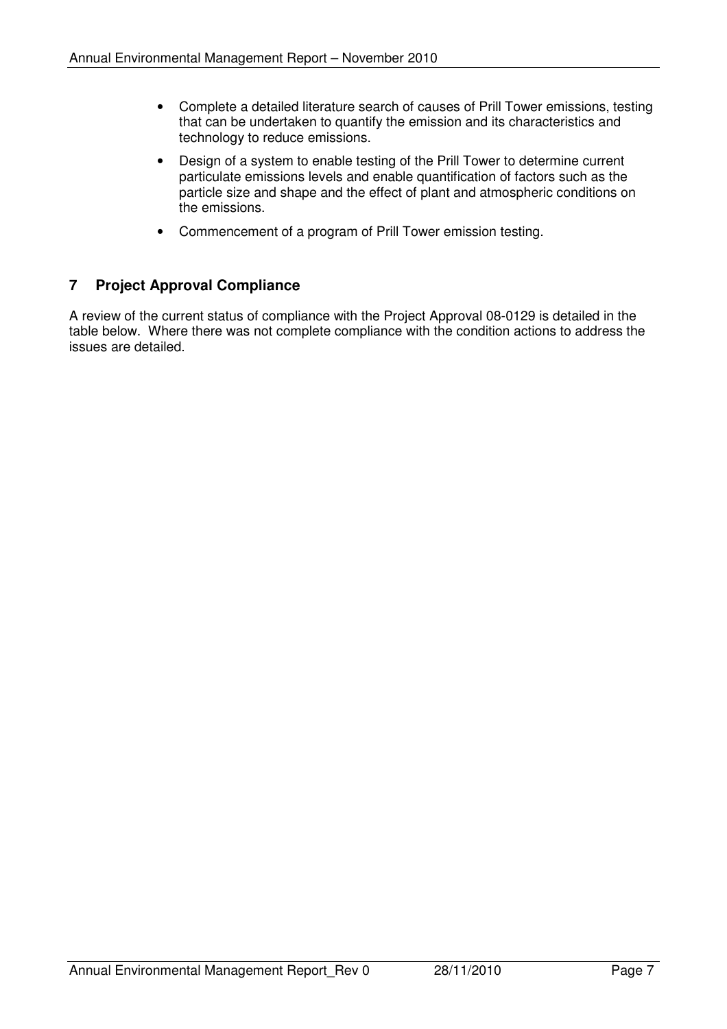- Complete a detailed literature search of causes of Prill Tower emissions, testing that can be undertaken to quantify the emission and its characteristics and technology to reduce emissions.
- Design of a system to enable testing of the Prill Tower to determine current particulate emissions levels and enable quantification of factors such as the particle size and shape and the effect of plant and atmospheric conditions on the emissions.
- Commencement of a program of Prill Tower emission testing.

#### **7 Project Approval Compliance**

A review of the current status of compliance with the Project Approval 08-0129 is detailed in the table below. Where there was not complete compliance with the condition actions to address the issues are detailed.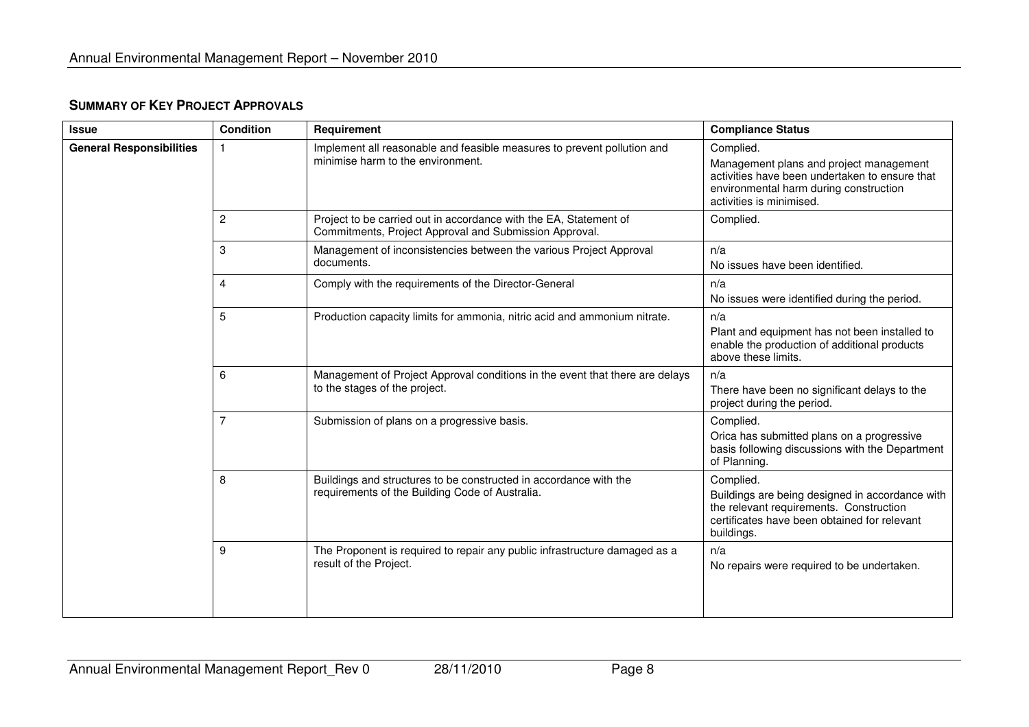| <b>Issue</b>                    | <b>Condition</b> | Requirement                                                                                                                 | <b>Compliance Status</b>                                                                                                                                                     |
|---------------------------------|------------------|-----------------------------------------------------------------------------------------------------------------------------|------------------------------------------------------------------------------------------------------------------------------------------------------------------------------|
| <b>General Responsibilities</b> | 1                | Implement all reasonable and feasible measures to prevent pollution and<br>minimise harm to the environment.                | Complied.<br>Management plans and project management<br>activities have been undertaken to ensure that<br>environmental harm during construction<br>activities is minimised. |
|                                 | 2                | Project to be carried out in accordance with the EA, Statement of<br>Commitments, Project Approval and Submission Approval. | Complied.                                                                                                                                                                    |
|                                 | 3                | Management of inconsistencies between the various Project Approval<br>documents.                                            | n/a<br>No issues have been identified.                                                                                                                                       |
|                                 | 4                | Comply with the requirements of the Director-General                                                                        | n/a<br>No issues were identified during the period.                                                                                                                          |
|                                 | 5                | Production capacity limits for ammonia, nitric acid and ammonium nitrate.                                                   | n/a<br>Plant and equipment has not been installed to<br>enable the production of additional products<br>above these limits.                                                  |
|                                 | 6                | Management of Project Approval conditions in the event that there are delays<br>to the stages of the project.               | n/a<br>There have been no significant delays to the<br>project during the period.                                                                                            |
|                                 | $\overline{7}$   | Submission of plans on a progressive basis.                                                                                 | Complied.<br>Orica has submitted plans on a progressive<br>basis following discussions with the Department<br>of Planning.                                                   |
|                                 | 8                | Buildings and structures to be constructed in accordance with the<br>requirements of the Building Code of Australia.        | Complied.<br>Buildings are being designed in accordance with<br>the relevant requirements. Construction<br>certificates have been obtained for relevant<br>buildings.        |
|                                 | 9                | The Proponent is required to repair any public infrastructure damaged as a<br>result of the Project.                        | n/a<br>No repairs were required to be undertaken.                                                                                                                            |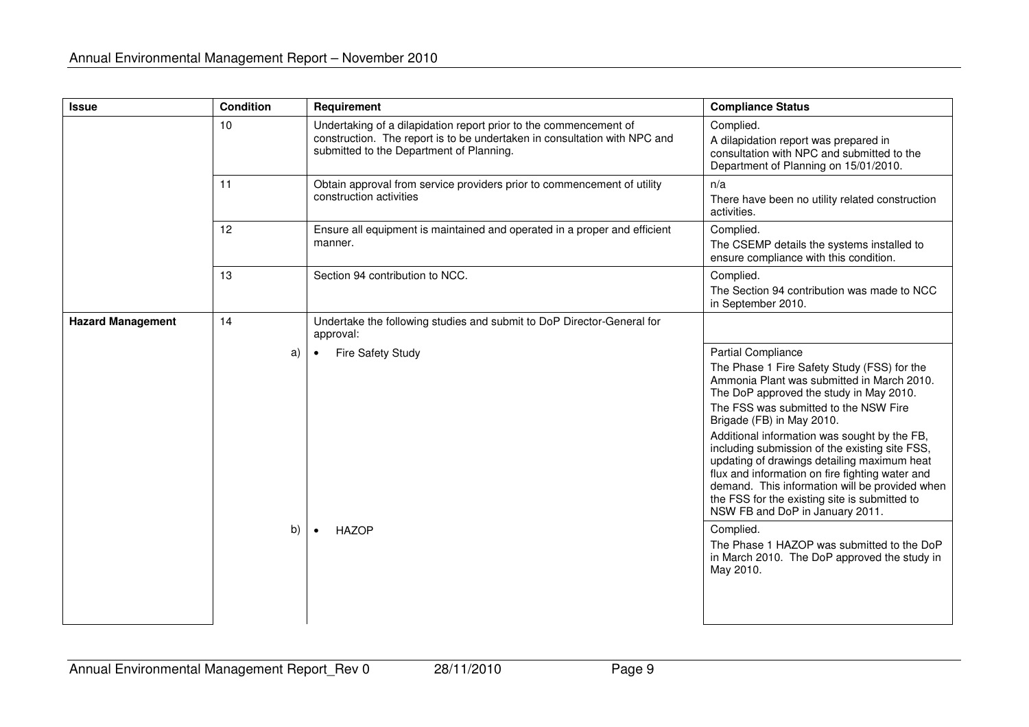| <b>Issue</b>             | <b>Condition</b> | Requirement                                                                                                                                                                                | <b>Compliance Status</b>                                                                                                                                                                                                                                                                                                                                                                                                                    |
|--------------------------|------------------|--------------------------------------------------------------------------------------------------------------------------------------------------------------------------------------------|---------------------------------------------------------------------------------------------------------------------------------------------------------------------------------------------------------------------------------------------------------------------------------------------------------------------------------------------------------------------------------------------------------------------------------------------|
|                          | 10               | Undertaking of a dilapidation report prior to the commencement of<br>construction. The report is to be undertaken in consultation with NPC and<br>submitted to the Department of Planning. | Complied.<br>A dilapidation report was prepared in<br>consultation with NPC and submitted to the<br>Department of Planning on 15/01/2010.                                                                                                                                                                                                                                                                                                   |
|                          | 11               | Obtain approval from service providers prior to commencement of utility<br>construction activities                                                                                         | n/a<br>There have been no utility related construction<br>activities.                                                                                                                                                                                                                                                                                                                                                                       |
|                          | 12               | Ensure all equipment is maintained and operated in a proper and efficient<br>manner.                                                                                                       | Complied.<br>The CSEMP details the systems installed to<br>ensure compliance with this condition.                                                                                                                                                                                                                                                                                                                                           |
|                          | 13               | Section 94 contribution to NCC.                                                                                                                                                            | Complied.<br>The Section 94 contribution was made to NCC<br>in September 2010.                                                                                                                                                                                                                                                                                                                                                              |
| <b>Hazard Management</b> | 14               | Undertake the following studies and submit to DoP Director-General for<br>approval:                                                                                                        |                                                                                                                                                                                                                                                                                                                                                                                                                                             |
|                          | a)               | <b>Fire Safety Study</b><br>$\bullet$                                                                                                                                                      | <b>Partial Compliance</b><br>The Phase 1 Fire Safety Study (FSS) for the<br>Ammonia Plant was submitted in March 2010.<br>The DoP approved the study in May 2010.<br>The FSS was submitted to the NSW Fire<br>Brigade (FB) in May 2010.<br>Additional information was sought by the FB,<br>including submission of the existing site FSS,<br>updating of drawings detailing maximum heat<br>flux and information on fire fighting water and |
|                          |                  |                                                                                                                                                                                            | demand. This information will be provided when<br>the FSS for the existing site is submitted to<br>NSW FB and DoP in January 2011.                                                                                                                                                                                                                                                                                                          |
|                          | b)               | <b>HAZOP</b><br>$\bullet$                                                                                                                                                                  | Complied.<br>The Phase 1 HAZOP was submitted to the DoP<br>in March 2010. The DoP approved the study in<br>May 2010.                                                                                                                                                                                                                                                                                                                        |
|                          |                  |                                                                                                                                                                                            |                                                                                                                                                                                                                                                                                                                                                                                                                                             |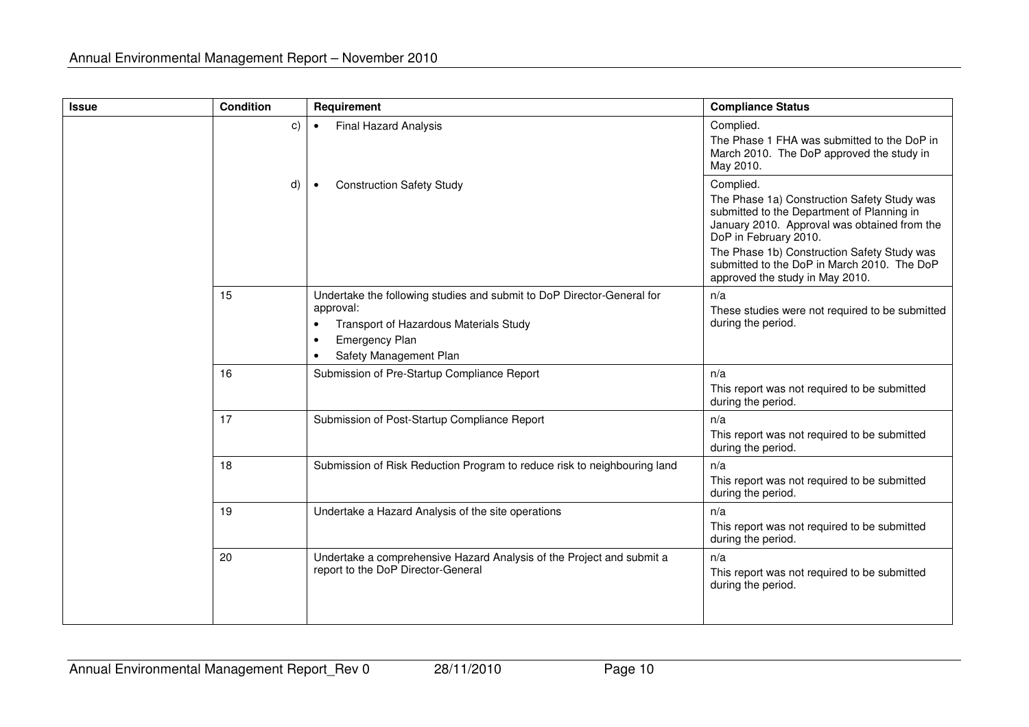| <b>Issue</b> | <b>Condition</b> | Requirement                                                                                                                                                                                                | <b>Compliance Status</b>                                                                                                                                                                                                                                                                                         |
|--------------|------------------|------------------------------------------------------------------------------------------------------------------------------------------------------------------------------------------------------------|------------------------------------------------------------------------------------------------------------------------------------------------------------------------------------------------------------------------------------------------------------------------------------------------------------------|
|              | C)               | <b>Final Hazard Analysis</b><br>$\bullet$                                                                                                                                                                  | Complied.<br>The Phase 1 FHA was submitted to the DoP in<br>March 2010. The DoP approved the study in<br>May 2010.                                                                                                                                                                                               |
|              | d)               | <b>Construction Safety Study</b>                                                                                                                                                                           | Complied.<br>The Phase 1a) Construction Safety Study was<br>submitted to the Department of Planning in<br>January 2010. Approval was obtained from the<br>DoP in February 2010.<br>The Phase 1b) Construction Safety Study was<br>submitted to the DoP in March 2010. The DoP<br>approved the study in May 2010. |
|              | 15               | Undertake the following studies and submit to DoP Director-General for<br>approval:<br>Transport of Hazardous Materials Study<br>$\bullet$<br><b>Emergency Plan</b><br>$\bullet$<br>Safety Management Plan | n/a<br>These studies were not required to be submitted<br>during the period.                                                                                                                                                                                                                                     |
|              | 16               | Submission of Pre-Startup Compliance Report                                                                                                                                                                | n/a<br>This report was not required to be submitted<br>during the period.                                                                                                                                                                                                                                        |
|              | 17               | Submission of Post-Startup Compliance Report                                                                                                                                                               | n/a<br>This report was not required to be submitted<br>during the period.                                                                                                                                                                                                                                        |
|              | 18               | Submission of Risk Reduction Program to reduce risk to neighbouring land                                                                                                                                   | n/a<br>This report was not required to be submitted<br>during the period.                                                                                                                                                                                                                                        |
|              | 19               | Undertake a Hazard Analysis of the site operations                                                                                                                                                         | n/a<br>This report was not required to be submitted<br>during the period.                                                                                                                                                                                                                                        |
|              | 20               | Undertake a comprehensive Hazard Analysis of the Project and submit a<br>report to the DoP Director-General                                                                                                | n/a<br>This report was not required to be submitted<br>during the period.                                                                                                                                                                                                                                        |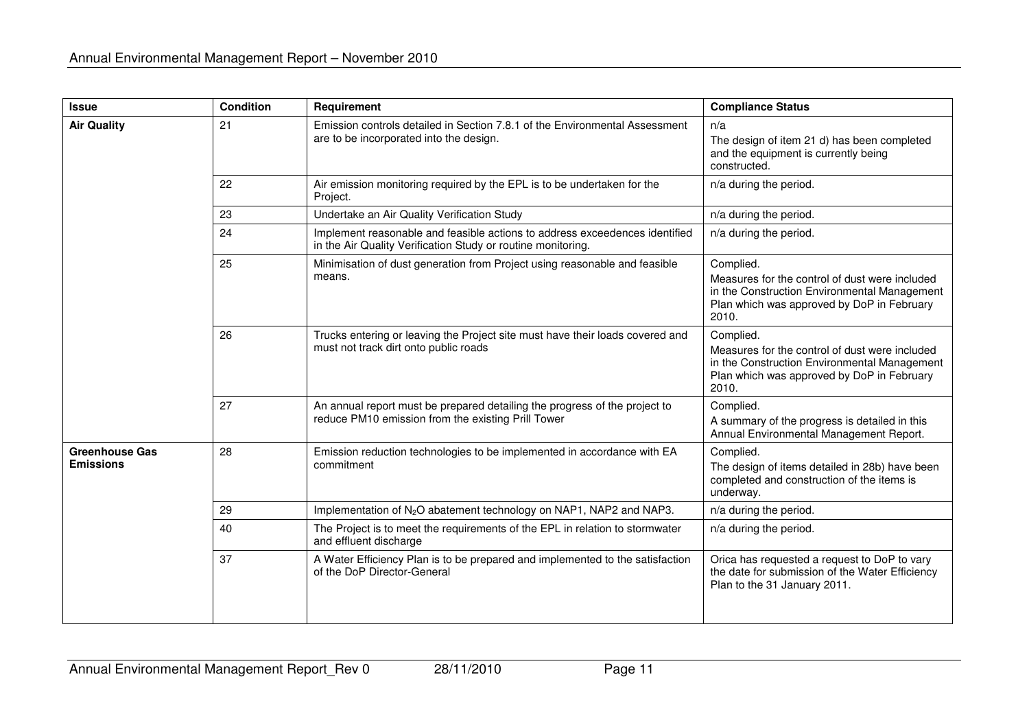| <b>Issue</b>                              | <b>Condition</b> | Requirement                                                                                                                                 | <b>Compliance Status</b>                                                                                                                                           |
|-------------------------------------------|------------------|---------------------------------------------------------------------------------------------------------------------------------------------|--------------------------------------------------------------------------------------------------------------------------------------------------------------------|
| <b>Air Quality</b>                        | 21               | Emission controls detailed in Section 7.8.1 of the Environmental Assessment<br>are to be incorporated into the design.                      | n/a<br>The design of item 21 d) has been completed<br>and the equipment is currently being<br>constructed.                                                         |
|                                           | 22               | Air emission monitoring required by the EPL is to be undertaken for the<br>Project.                                                         | n/a during the period.                                                                                                                                             |
|                                           | 23               | Undertake an Air Quality Verification Study                                                                                                 | n/a during the period.                                                                                                                                             |
|                                           | 24               | Implement reasonable and feasible actions to address exceedences identified<br>in the Air Quality Verification Study or routine monitoring. | n/a during the period.                                                                                                                                             |
|                                           | 25               | Minimisation of dust generation from Project using reasonable and feasible<br>means.                                                        | Complied.<br>Measures for the control of dust were included<br>in the Construction Environmental Management<br>Plan which was approved by DoP in February<br>2010. |
|                                           | 26               | Trucks entering or leaving the Project site must have their loads covered and<br>must not track dirt onto public roads                      | Complied.<br>Measures for the control of dust were included<br>in the Construction Environmental Management<br>Plan which was approved by DoP in February<br>2010. |
|                                           | 27               | An annual report must be prepared detailing the progress of the project to<br>reduce PM10 emission from the existing Prill Tower            | Complied.<br>A summary of the progress is detailed in this<br>Annual Environmental Management Report.                                                              |
| <b>Greenhouse Gas</b><br><b>Emissions</b> | 28               | Emission reduction technologies to be implemented in accordance with EA<br>commitment                                                       | Complied.<br>The design of items detailed in 28b) have been<br>completed and construction of the items is<br>underway.                                             |
|                                           | 29               | Implementation of N <sub>2</sub> O abatement technology on NAP1, NAP2 and NAP3.                                                             | n/a during the period.                                                                                                                                             |
|                                           | 40               | The Project is to meet the requirements of the EPL in relation to stormwater<br>and effluent discharge                                      | n/a during the period.                                                                                                                                             |
|                                           | 37               | A Water Efficiency Plan is to be prepared and implemented to the satisfaction<br>of the DoP Director-General                                | Orica has requested a request to DoP to vary<br>the date for submission of the Water Efficiency<br>Plan to the 31 January 2011.                                    |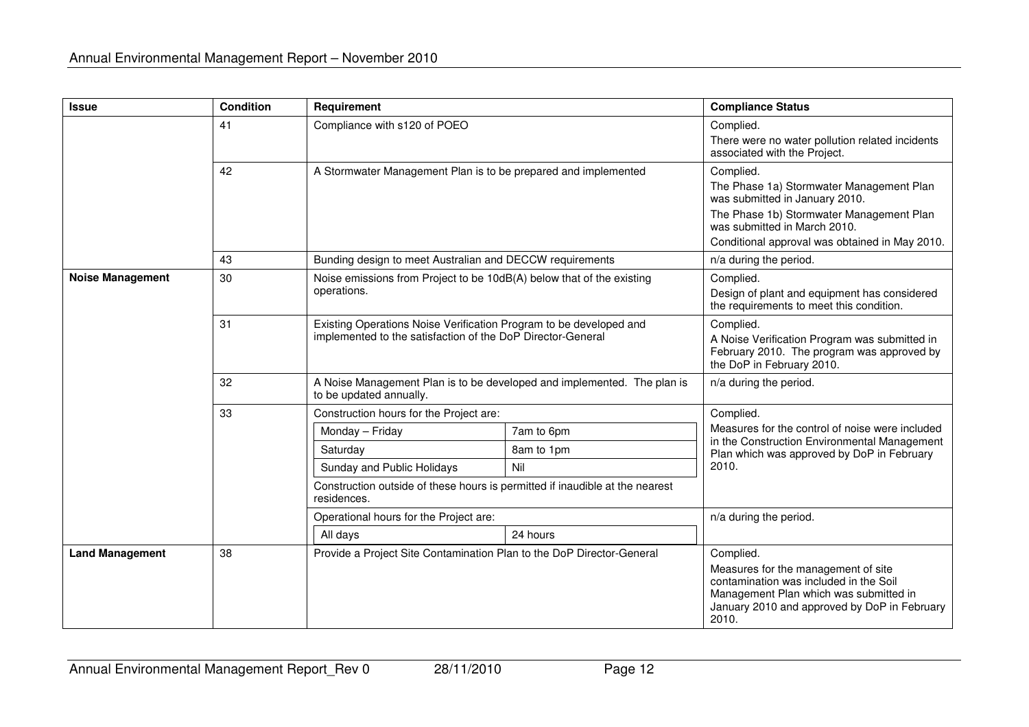| <b>Issue</b>            | <b>Condition</b> | Requirement                                                                                                                       |                                                                                                                                       | <b>Compliance Status</b>                                                                                                                                                                                              |
|-------------------------|------------------|-----------------------------------------------------------------------------------------------------------------------------------|---------------------------------------------------------------------------------------------------------------------------------------|-----------------------------------------------------------------------------------------------------------------------------------------------------------------------------------------------------------------------|
|                         | 41               | Compliance with s120 of POEO                                                                                                      |                                                                                                                                       | Complied.<br>There were no water pollution related incidents<br>associated with the Project.                                                                                                                          |
|                         | 42               | A Stormwater Management Plan is to be prepared and implemented                                                                    |                                                                                                                                       | Complied.<br>The Phase 1a) Stormwater Management Plan<br>was submitted in January 2010.<br>The Phase 1b) Stormwater Management Plan<br>was submitted in March 2010.<br>Conditional approval was obtained in May 2010. |
|                         | 43               | Bunding design to meet Australian and DECCW requirements                                                                          |                                                                                                                                       | n/a during the period.                                                                                                                                                                                                |
| <b>Noise Management</b> | 30               | Noise emissions from Project to be 10dB(A) below that of the existing<br>operations.                                              |                                                                                                                                       | Complied.<br>Design of plant and equipment has considered<br>the requirements to meet this condition.                                                                                                                 |
|                         | 31               | Existing Operations Noise Verification Program to be developed and<br>implemented to the satisfaction of the DoP Director-General | Complied.<br>A Noise Verification Program was submitted in<br>February 2010. The program was approved by<br>the DoP in February 2010. |                                                                                                                                                                                                                       |
|                         | 32               | A Noise Management Plan is to be developed and implemented. The plan is<br>to be updated annually.                                |                                                                                                                                       | n/a during the period.                                                                                                                                                                                                |
|                         | 33               | Construction hours for the Project are:                                                                                           |                                                                                                                                       | Complied.                                                                                                                                                                                                             |
|                         |                  | Monday - Friday                                                                                                                   | 7am to 6pm                                                                                                                            | Measures for the control of noise were included                                                                                                                                                                       |
|                         |                  | Saturday                                                                                                                          | 8am to 1pm                                                                                                                            | in the Construction Environmental Management<br>Plan which was approved by DoP in February                                                                                                                            |
|                         |                  | Sunday and Public Holidays                                                                                                        | Nil                                                                                                                                   | 2010.                                                                                                                                                                                                                 |
|                         |                  | Construction outside of these hours is permitted if inaudible at the nearest<br>residences.                                       |                                                                                                                                       |                                                                                                                                                                                                                       |
|                         |                  | Operational hours for the Project are:                                                                                            |                                                                                                                                       | n/a during the period.                                                                                                                                                                                                |
|                         |                  | All days                                                                                                                          | 24 hours                                                                                                                              |                                                                                                                                                                                                                       |
| <b>Land Management</b>  | 38               | Provide a Project Site Contamination Plan to the DoP Director-General                                                             |                                                                                                                                       | Complied.<br>Measures for the management of site<br>contamination was included in the Soil<br>Management Plan which was submitted in<br>January 2010 and approved by DoP in February<br>2010.                         |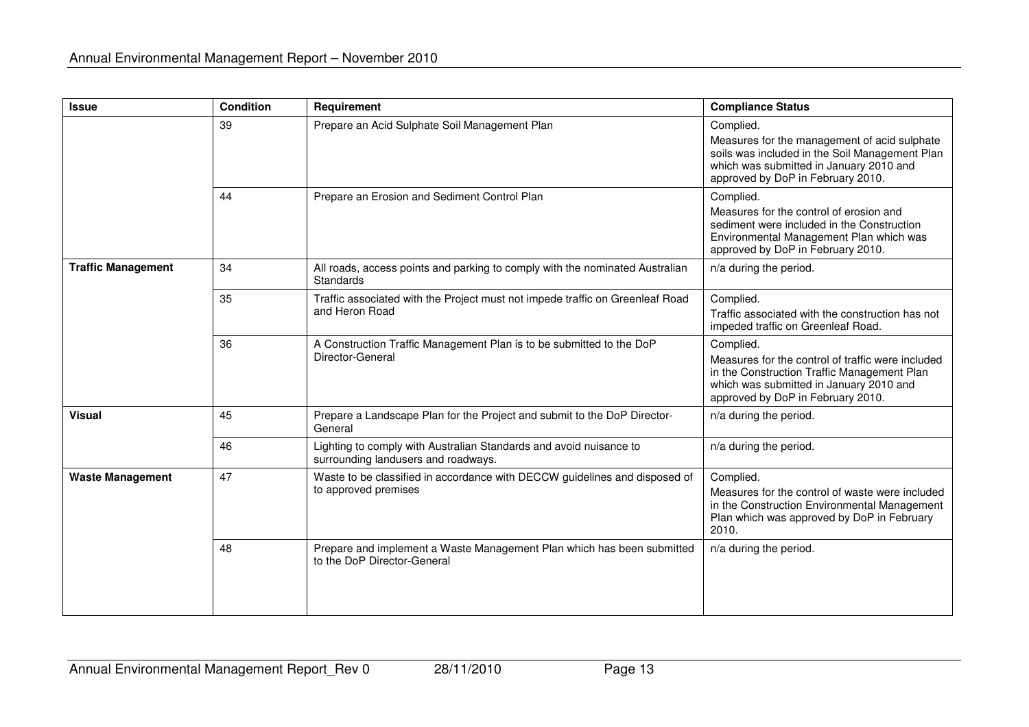| <b>Issue</b>              | <b>Condition</b> | Requirement                                                                                               | <b>Compliance Status</b>                                                                                                                                                                      |
|---------------------------|------------------|-----------------------------------------------------------------------------------------------------------|-----------------------------------------------------------------------------------------------------------------------------------------------------------------------------------------------|
|                           | 39               | Prepare an Acid Sulphate Soil Management Plan                                                             | Complied.<br>Measures for the management of acid sulphate<br>soils was included in the Soil Management Plan<br>which was submitted in January 2010 and<br>approved by DoP in February 2010.   |
|                           | 44               | Prepare an Erosion and Sediment Control Plan                                                              | Complied.<br>Measures for the control of erosion and<br>sediment were included in the Construction<br>Environmental Management Plan which was<br>approved by DoP in February 2010.            |
| <b>Traffic Management</b> | 34               | All roads, access points and parking to comply with the nominated Australian<br>Standards                 | n/a during the period.                                                                                                                                                                        |
|                           | 35               | Traffic associated with the Project must not impede traffic on Greenleaf Road<br>and Heron Road           | Complied.<br>Traffic associated with the construction has not<br>impeded traffic on Greenleaf Road.                                                                                           |
|                           | 36               | A Construction Traffic Management Plan is to be submitted to the DoP<br>Director-General                  | Complied.<br>Measures for the control of traffic were included<br>in the Construction Traffic Management Plan<br>which was submitted in January 2010 and<br>approved by DoP in February 2010. |
| <b>Visual</b>             | 45               | Prepare a Landscape Plan for the Project and submit to the DoP Director-<br>General                       | n/a during the period.                                                                                                                                                                        |
|                           | 46               | Lighting to comply with Australian Standards and avoid nuisance to<br>surrounding landusers and roadways. | n/a during the period.                                                                                                                                                                        |
| <b>Waste Management</b>   | 47               | Waste to be classified in accordance with DECCW guidelines and disposed of<br>to approved premises        | Complied.<br>Measures for the control of waste were included<br>in the Construction Environmental Management<br>Plan which was approved by DoP in February<br>2010.                           |
|                           | 48               | Prepare and implement a Waste Management Plan which has been submitted<br>to the DoP Director-General     | n/a during the period.                                                                                                                                                                        |